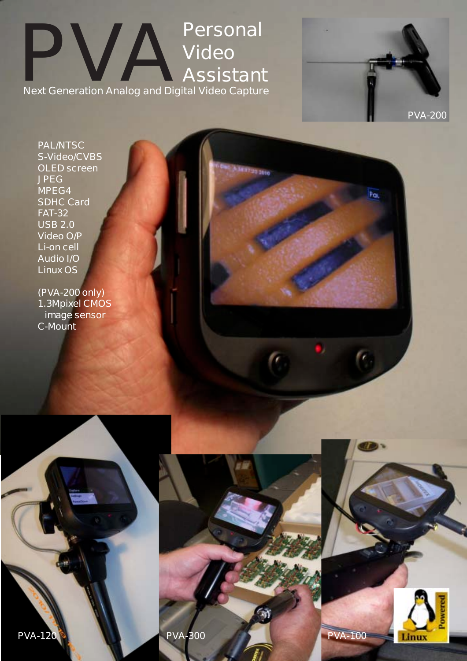**Personal<br>
Video<br>
Next Generation Analog and Digital Video Captur Video Assistant Next Generation Analog and Digital Video Capture**

17:30 3010

**PAL/NTSC S-Video/CVBS OLED screen JPEG MPEG4 SDHC Card FAT-32 USB 2.0 Video O/P Li-on cell Audio I/O Linux OS**

**(PVA-200 only) 1.3Mpixel CMOS image sensor C-Mount**



 $\overline{P_{\text{CL}}}$ 

 $\mathbf{C}$ 





**PVA-120 PVA-300 PVA-300 PVA-100**